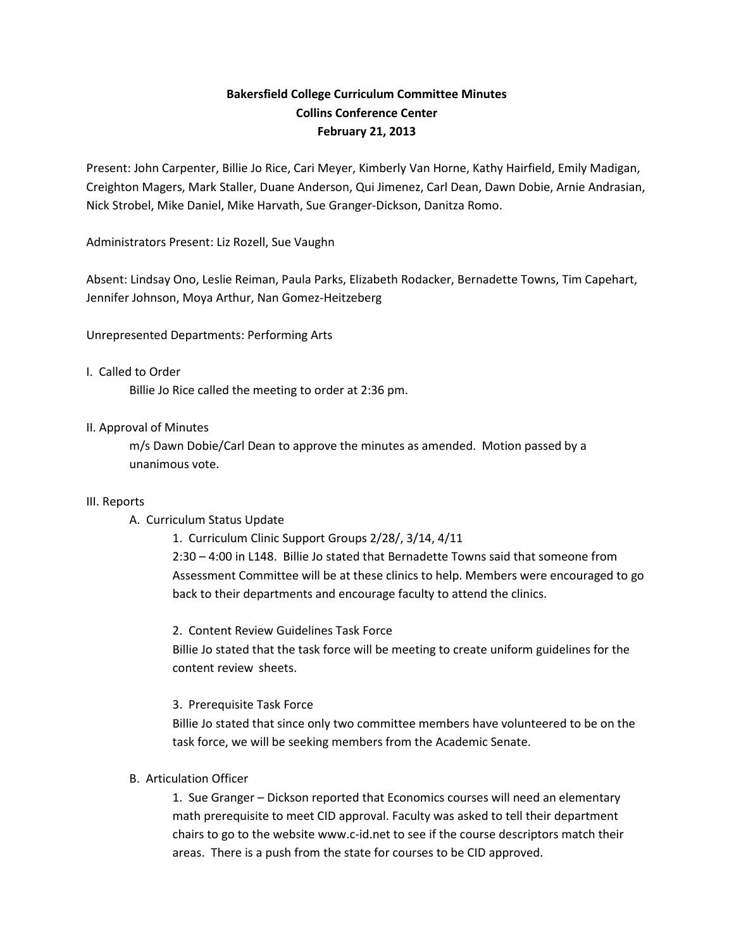# **Bakersfield College Curriculum Committee Minutes Collins Conference Center February 21, 2013**

Present: John Carpenter, Billie Jo Rice, Cari Meyer, Kimberly Van Horne, Kathy Hairfield, Emily Madigan, Creighton Magers, Mark Staller, Duane Anderson, Qui Jimenez, Carl Dean, Dawn Dobie, Arnie Andrasian, Nick Strobel, Mike Daniel, Mike Harvath, Sue Granger-Dickson, Danitza Romo.

Administrators Present: Liz Rozell, Sue Vaughn

Absent: Lindsay Ono, Leslie Reiman, Paula Parks, Elizabeth Rodacker, Bernadette Towns, Tim Capehart, Jennifer Johnson, Moya Arthur, Nan Gomez-Heitzeberg

Unrepresented Departments: Performing Arts

### I. Called to Order

Billie Jo Rice called the meeting to order at 2:36 pm.

### II. Approval of Minutes

m/s Dawn Dobie/Carl Dean to approve the minutes as amended. Motion passed by a unanimous vote.

#### III. Reports

## A. Curriculum Status Update

1. Curriculum Clinic Support Groups 2/28/, 3/14, 4/11 2:30 – 4:00 in L148. Billie Jo stated that Bernadette Towns said that someone from Assessment Committee will be at these clinics to help. Members were encouraged to go back to their departments and encourage faculty to attend the clinics.

2. Content Review Guidelines Task Force Billie Jo stated that the task force will be meeting to create uniform guidelines for the content review sheets.

3. Prerequisite Task Force

Billie Jo stated that since only two committee members have volunteered to be on the task force, we will be seeking members from the Academic Senate.

## B. Articulation Officer

1. Sue Granger – Dickson reported that Economics courses will need an elementary math prerequisite to meet CID approval. Faculty was asked to tell their department chairs to go to the website www.c-id.net to see if the course descriptors match their areas. There is a push from the state for courses to be CID approved.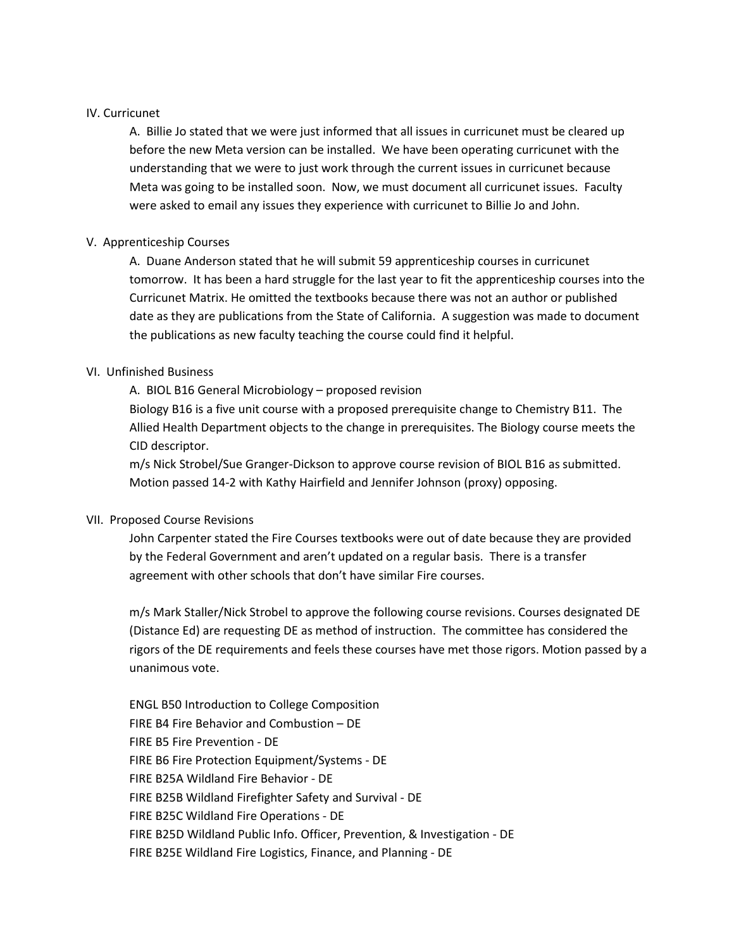### IV. Curricunet

A. Billie Jo stated that we were just informed that all issues in curricunet must be cleared up before the new Meta version can be installed. We have been operating curricunet with the understanding that we were to just work through the current issues in curricunet because Meta was going to be installed soon. Now, we must document all curricunet issues. Faculty were asked to email any issues they experience with curricunet to Billie Jo and John.

## V. Apprenticeship Courses

A. Duane Anderson stated that he will submit 59 apprenticeship courses in curricunet tomorrow. It has been a hard struggle for the last year to fit the apprenticeship courses into the Curricunet Matrix. He omitted the textbooks because there was not an author or published date as they are publications from the State of California. A suggestion was made to document the publications as new faculty teaching the course could find it helpful.

## VI. Unfinished Business

A. BIOL B16 General Microbiology – proposed revision

Biology B16 is a five unit course with a proposed prerequisite change to Chemistry B11. The Allied Health Department objects to the change in prerequisites. The Biology course meets the CID descriptor.

m/s Nick Strobel/Sue Granger-Dickson to approve course revision of BIOL B16 as submitted. Motion passed 14-2 with Kathy Hairfield and Jennifer Johnson (proxy) opposing.

## VII. Proposed Course Revisions

John Carpenter stated the Fire Courses textbooks were out of date because they are provided by the Federal Government and aren't updated on a regular basis. There is a transfer agreement with other schools that don't have similar Fire courses.

m/s Mark Staller/Nick Strobel to approve the following course revisions. Courses designated DE (Distance Ed) are requesting DE as method of instruction. The committee has considered the rigors of the DE requirements and feels these courses have met those rigors. Motion passed by a unanimous vote.

ENGL B50 Introduction to College Composition FIRE B4 Fire Behavior and Combustion – DE FIRE B5 Fire Prevention - DE FIRE B6 Fire Protection Equipment/Systems - DE FIRE B25A Wildland Fire Behavior - DE FIRE B25B Wildland Firefighter Safety and Survival - DE FIRE B25C Wildland Fire Operations - DE FIRE B25D Wildland Public Info. Officer, Prevention, & Investigation - DE FIRE B25E Wildland Fire Logistics, Finance, and Planning - DE